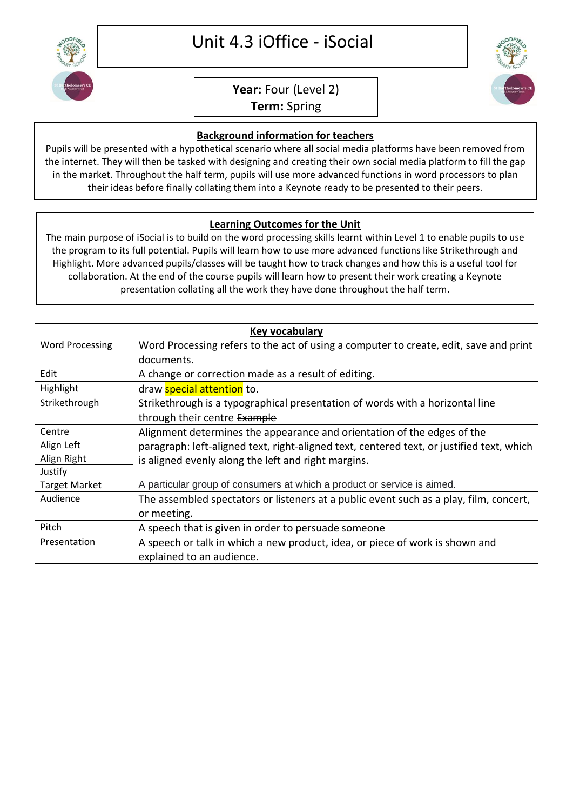

## **Year:** Four (Level 2)

**Term:** Spring

## **Background information for teachers**

Pupils will be presented with a hypothetical scenario where all social media platforms have been removed from the internet. They will then be tasked with designing and creating their own social media platform to fill the gap in the market. Throughout the half term, pupils will use more advanced functions in word processors to plan their ideas before finally collating them into a Keynote ready to be presented to their peers.

## **Learning Outcomes for the Unit**

The main purpose of iSocial is to build on the word processing skills learnt within Level 1 to enable pupils to use the program to its full potential. Pupils will learn how to use more advanced functions like Strikethrough and Highlight. More advanced pupils/classes will be taught how to track changes and how this is a useful tool for collaboration. At the end of the course pupils will learn how to present their work creating a Keynote presentation collating all the work they have done throughout the half term.

| Key vocabulary         |                                                                                           |
|------------------------|-------------------------------------------------------------------------------------------|
| <b>Word Processing</b> | Word Processing refers to the act of using a computer to create, edit, save and print     |
|                        | documents.                                                                                |
| Edit                   | A change or correction made as a result of editing.                                       |
| Highlight              | draw <b>special attention</b> to.                                                         |
| Strikethrough          | Strikethrough is a typographical presentation of words with a horizontal line             |
|                        | through their centre Example                                                              |
| Centre                 | Alignment determines the appearance and orientation of the edges of the                   |
| Align Left             | paragraph: left-aligned text, right-aligned text, centered text, or justified text, which |
| Align Right            | is aligned evenly along the left and right margins.                                       |
| Justify                |                                                                                           |
| <b>Target Market</b>   | A particular group of consumers at which a product or service is aimed.                   |
| Audience               | The assembled spectators or listeners at a public event such as a play, film, concert,    |
|                        | or meeting.                                                                               |
| Pitch                  | A speech that is given in order to persuade someone                                       |
| Presentation           | A speech or talk in which a new product, idea, or piece of work is shown and              |
|                        | explained to an audience.                                                                 |